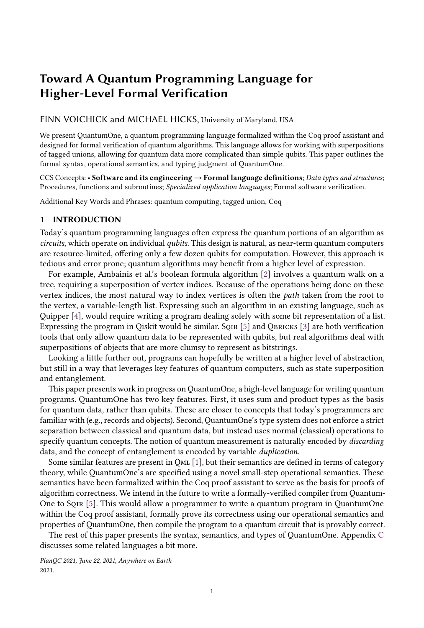# Toward A Quantum Programming Language for Higher-Level Formal Verification

# FINN VOICHICK and MICHAEL HICKS, University of Maryland, USA

We present QuantumOne, a quantum programming language formalized within the Coq proof assistant and designed for formal verification of quantum algorithms. This language allows for working with superpositions of tagged unions, allowing for quantum data more complicated than simple qubits. This paper outlines the formal syntax, operational semantics, and typing judgment of QuantumOne.

CCS Concepts: • Software and its engineering  $\rightarrow$  Formal language definitions; Data types and structures; Procedures, functions and subroutines; Specialized application languages; Formal software verification.

Additional Key Words and Phrases: quantum computing, tagged union, Coq

# 1 INTRODUCTION

Today's quantum programming languages often express the quantum portions of an algorithm as circuits, which operate on individual qubits. This design is natural, as near-term quantum computers are resource-limited, offering only a few dozen qubits for computation. However, this approach is tedious and error prone; quantum algorithms may benefit from a higher level of expression.

For example, Ambainis et al.'s boolean formula algorithm [\[2\]](#page-5-0) involves a quantum walk on a tree, requiring a superposition of vertex indices. Because of the operations being done on these vertex indices, the most natural way to index vertices is often the path taken from the root to the vertex, a variable-length list. Expressing such an algorithm in an existing language, such as Quipper [\[4\]](#page-5-1), would require writing a program dealing solely with some bit representation of a list. Expressing the program in Qiskit would be similar. SQIR [\[5\]](#page-5-2) and QBRICKS [\[3\]](#page-5-3) are both verification tools that only allow quantum data to be represented with qubits, but real algorithms deal with superpositions of objects that are more clumsy to represent as bitstrings.

Looking a little further out, programs can hopefully be written at a higher level of abstraction, but still in a way that leverages key features of quantum computers, such as state superposition and entanglement.

This paper presents work in progress on QuantumOne, a high-level language for writing quantum programs. QuantumOne has two key features. First, it uses sum and product types as the basis for quantum data, rather than qubits. These are closer to concepts that today's programmers are familiar with (e.g., records and objects). Second, QuantumOne's type system does not enforce a strict separation between classical and quantum data, but instead uses normal (classical) operations to specify quantum concepts. The notion of quantum measurement is naturally encoded by *discarding* data, and the concept of entanglement is encoded by variable duplication.

Some similar features are present in QML [\[1\]](#page-5-4), but their semantics are defined in terms of category theory, while QuantumOne's are specified using a novel small-step operational semantics. These semantics have been formalized within the Coq proof assistant to serve as the basis for proofs of algorithm correctness. We intend in the future to write a formally-verified compiler from Quantum-One to Sqir [\[5\]](#page-5-2). This would allow a programmer to write a quantum program in QuantumOne within the Coq proof assistant, formally prove its correctness using our operational semantics and properties of QuantumOne, then compile the program to a quantum circuit that is provably correct.

The rest of this paper presents the syntax, semantics, and types of QuantumOne. Appendix [C](#page-7-0) discusses some related languages a bit more.

PlanQC 2021, June 22, 2021, Anywhere on Earth 2021.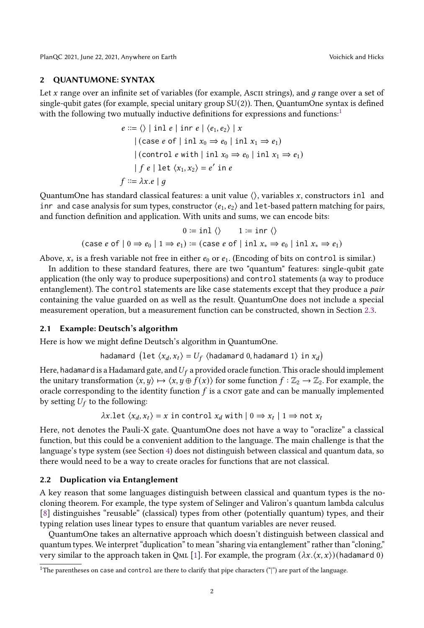PlanQC 2021, June 22, 2021, Anywhere on Earth Voichick and Hicks

## 2 QUANTUMONE: SYNTAX

Let  $x$  range over an infinite set of variables (for example, Asc $I$  strings), and  $q$  range over a set of single-qubit gates (for example, special unitary group  $SU(2)$ ). Then, QuantumOne syntax is defined with the following two mutually inductive definitions for expressions and functions:<sup>[1](#page-1-0)</sup>

$$
e ::= \langle \rangle \mid \text{inl } e \mid \text{inr } e \mid \langle e_1, e_2 \rangle \mid x
$$
  
\n
$$
\mid (\text{case } e \text{ of } \mid \text{inl } x_0 \Rightarrow e_0 \mid \text{inl } x_1 \Rightarrow e_1)
$$
  
\n
$$
\mid (\text{control } e \text{ with } \mid \text{inl } x_0 \Rightarrow e_0 \mid \text{inl } x_1 \Rightarrow e_1)
$$
  
\n
$$
\mid f \text{ } e \mid \text{let } \langle x_1, x_2 \rangle = e' \text{ in } e
$$
  
\n
$$
f ::= \lambda x. e \mid g
$$

QuantumOne has standard classical features: a unit value  $\langle \rangle$ , variables x, constructors inl and inr and case analysis for sum types, constructor  $\langle e_1, e_2 \rangle$  and let-based pattern matching for pairs, and function definition and application. With units and sums, we can encode bits:

$$
0 := \text{inl} \langle\rangle \qquad 1 := \text{inr} \langle\rangle
$$
  
(case *e* of  $| 0 \Rightarrow e_0 | 1 \Rightarrow e_1$ ) := (case *e* of  $| \text{inl } x_* \Rightarrow e_0 | \text{inl } x_* \Rightarrow e_1$ )

Above,  $x_*$  is a fresh variable not free in either  $e_0$  or  $e_1$ . (Encoding of bits on control is similar.)

In addition to these standard features, there are two "quantum" features: single-qubit gate application (the only way to produce superpositions) and control statements (a way to produce entanglement). The control statements are like case statements except that they produce a pair containing the value guarded on as well as the result. QuantumOne does not include a special measurement operation, but a measurement function can be constructed, shown in Section [2.3.](#page-2-0)

# <span id="page-1-1"></span>2.1 Example: Deutsch's algorithm

Here is how we might define Deutsch's algorithm in QuantumOne.

hadamard (let 
$$
\langle x_d, x_t \rangle = U_f
$$
 (hadamard 0, hadamard 1) in  $x_d$ )

Here, hadamard is a Hadamard gate, and  $U_f$  a provided oracle function. This oracle should implement the unitary transformation  $\langle x, y \rangle \mapsto \langle x, y \oplus f(x) \rangle$  for some function  $f : \mathbb{Z}_2 \to \mathbb{Z}_2$ . For example, the oracle corresponding to the identity function  $f$  is a cnor gate and can be manually implemented by setting  $U_f$  to the following:

 $\lambda x.$ let  $\langle x_d, x_t \rangle = x$  in control  $x_d$  with  $|0 \Rightarrow x_t |$   $1 \Rightarrow$  not  $x_t$ 

Here, not denotes the Pauli-X gate. QuantumOne does not have a way to "oraclize" a classical function, but this could be a convenient addition to the language. The main challenge is that the language's type system (see Section [4\)](#page-3-0) does not distinguish between classical and quantum data, so there would need to be a way to create oracles for functions that are not classical.

# <span id="page-1-2"></span>2.2 Duplication via Entanglement

A key reason that some languages distinguish between classical and quantum types is the nocloning theorem. For example, the type system of Selinger and Valiron's quantum lambda calculus [\[8\]](#page-5-5) distinguishes "reusable" (classical) types from other (potentially quantum) types, and their typing relation uses linear types to ensure that quantum variables are never reused.

QuantumOne takes an alternative approach which doesn't distinguish between classical and quantum types. We interpret "duplication" to mean "sharing via entanglement" rather than "cloning," very similar to the approach taken in QmL [\[1\]](#page-5-4). For example, the program  $(\lambda x.\langle x, x \rangle)$  (hadamard 0)

<span id="page-1-0"></span><sup>&</sup>lt;sup>1</sup>The parentheses on case and control are there to clarify that pipe characters ("|") are part of the language.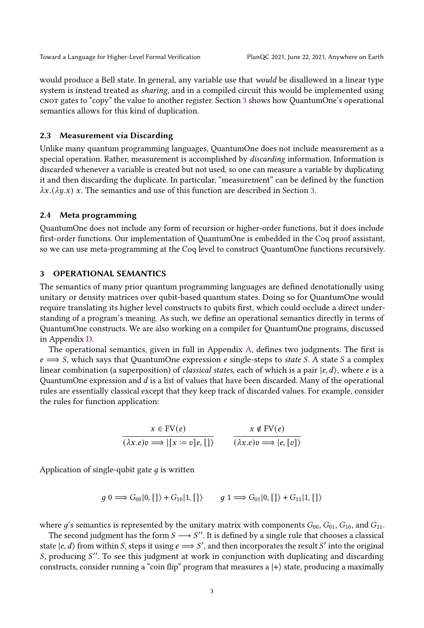would produce a Bell state. In general, any variable use that would be disallowed in a linear type system is instead treated as sharing, and in a compiled circuit this would be implemented using cnot gates to "copy" the value to another register. Section [3](#page-2-1) shows how QuantumOne's operational semantics allows for this kind of duplication.

## <span id="page-2-0"></span>2.3 Measurement via Discarding

Unlike many quantum programming languages, QuantumOne does not include measurement as a special operation. Rather, measurement is accomplished by discarding information. Information is discarded whenever a variable is created but not used, so one can measure a variable by duplicating it and then discarding the duplicate. In particular, "measurement" can be defined by the function  $\lambda x.(\lambda y.x)$  x. The semantics and use of this function are described in Section [3.](#page-2-1)

## 2.4 Meta programming

QuantumOne does not include any form of recursion or higher-order functions, but it does include first-order functions. Our implementation of QuantumOne is embedded in the Coq proof assistant, so we can use meta-programming at the Coq level to construct QuantumOne functions recursively.

# <span id="page-2-1"></span>3 OPERATIONAL SEMANTICS

The semantics of many prior quantum programming languages are defined denotationally using unitary or density matrices over qubit-based quantum states. Doing so for QuantumOne would require translating its higher level constructs to qubits first, which could occlude a direct understanding of a program's meaning. As such, we define an operational semantics directly in terms of QuantumOne constructs. We are also working on a compiler for QuantumOne programs, discussed in Appendix [D.](#page-8-0)

The operational semantics, given in full in Appendix [A,](#page-5-6) defines two judgments. The first is  $e \implies S$ , which says that QuantumOne expression  $e$  single-steps to state S. A state S a complex linear combination (a superposition) of *classical states*, each of which is a pair  $|e, d\rangle$ , where *e* is a QuantumOne expression and  $d$  is a list of values that have been discarded. Many of the operational rules are essentially classical except that they keep track of discarded values. For example, consider the rules for function application:

$$
\frac{x \in \text{FV}(e)}{(\lambda x. e)v \Longrightarrow |[x := v]e, []\rangle} \qquad \frac{x \notin \text{FV}(e)}{(\lambda x. e)v \Longrightarrow |e, [v]\rangle}
$$

Application of single-qubit gate  $q$  is written

$$
g \n\stackrel{\sim}{\longrightarrow} G_{00}|0, []\rangle + G_{10}|1, []\rangle \qquad g \n\stackrel{\sim}{\longrightarrow} G_{01}|0, []\rangle + G_{11}|1, []\rangle
$$

where  $g$ 's semantics is represented by the unitary matrix with components  $G_{00}$ ,  $G_{01}$ ,  $G_{10}$ , and  $G_{11}$ .

The second judgment has the form  $S \longrightarrow S''$ . It is defined by a single rule that chooses a classical state  $|e, d\rangle$  from within S, steps it using  $e \implies S'$ , and then incorporates the result S' into the original S, producing S". To see this judgment at work in conjunction with duplicating and discarding constructs, consider running a "coin flip" program that measures a  $|+\rangle$  state, producing a maximally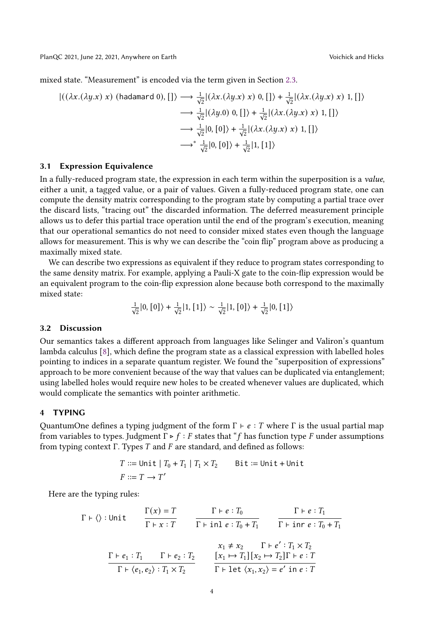mixed state. "Measurement" is encoded via the term given in Section [2.3.](#page-2-0)

$$
\begin{aligned}\n\left| \left( (\lambda x.(\lambda y.x) \ x) \ (\text{hadamard 0}), \left[ \right] \right\rangle &\longrightarrow \frac{1}{\sqrt{2}} \left| (\lambda x.(\lambda y.x) \ x) \ 0, \left[ \right] \right\rangle + \frac{1}{\sqrt{2}} \left| (\lambda x.(\lambda y.x) \ x) \ 1, \left[ \right] \right\rangle \\
&\longrightarrow \frac{1}{\sqrt{2}} \left| (\lambda y.0) \ 0, \left[ \right] \right\rangle + \frac{1}{\sqrt{2}} \left| (\lambda x.(\lambda y.x) \ x) \ 1, \left[ \right] \right\rangle \\
&\longrightarrow \frac{1}{\sqrt{2}} \left| 0, \left[ 0 \right] \right\rangle + \frac{1}{\sqrt{2}} \left| (\lambda x.(\lambda y.x) \ x) \ 1, \left[ \right] \right\rangle \\
&\longrightarrow^* \frac{1}{\sqrt{2}} \left| 0, \left[ 0 \right] \right\rangle + \frac{1}{\sqrt{2}} \left| 1, \left[ 1 \right] \right\rangle\n\end{aligned}
$$

## 3.1 Expression Equivalence

In a fully-reduced program state, the expression in each term within the superposition is a value, either a unit, a tagged value, or a pair of values. Given a fully-reduced program state, one can compute the density matrix corresponding to the program state by computing a partial trace over the discard lists, "tracing out" the discarded information. The deferred measurement principle allows us to defer this partial trace operation until the end of the program's execution, meaning that our operational semantics do not need to consider mixed states even though the language allows for measurement. This is why we can describe the "coin flip" program above as producing a maximally mixed state.

We can describe two expressions as equivalent if they reduce to program states corresponding to the same density matrix. For example, applying a Pauli-X gate to the coin-flip expression would be an equivalent program to the coin-flip expression alone because both correspond to the maximally mixed state:

$$
\frac{1}{\sqrt{2}}|0, [0]\rangle + \frac{1}{\sqrt{2}}|1, [1]\rangle \sim \frac{1}{\sqrt{2}}|1, [0]\rangle + \frac{1}{\sqrt{2}}|0, [1]\rangle
$$

# 3.2 Discussion

Our semantics takes a different approach from languages like Selinger and Valiron's quantum lambda calculus [\[8\]](#page-5-5), which define the program state as a classical expression with labelled holes pointing to indices in a separate quantum register. We found the "superposition of expressions" approach to be more convenient because of the way that values can be duplicated via entanglement; using labelled holes would require new holes to be created whenever values are duplicated, which would complicate the semantics with pointer arithmetic.

# <span id="page-3-0"></span>4 TYPING

QuantumOne defines a typing judgment of the form  $\Gamma \vdash e : T$  where  $\Gamma$  is the usual partial map from variables to types. Judgment  $\Gamma \triangleright f : F$  states that "f has function type F under assumptions from typing context  $\Gamma$ . Types  $T$  and  $F$  are standard, and defined as follows:

$$
T ::= \text{Unit} \mid T_0 + T_1 \mid T_1 \times T_2 \qquad \text{Bit} := \text{Unit} + \text{Unit}
$$

$$
F ::= T \rightarrow T'
$$

Here are the typing rules:

$$
\Gamma \vdash \langle \rangle : \text{Unit} \qquad \frac{\Gamma(x) = T}{\Gamma \vdash x : T} \qquad \frac{\Gamma \vdash e : T_0}{\Gamma \vdash \text{inl} e : T_0 + T_1} \qquad \frac{\Gamma \vdash e : T_1}{\Gamma \vdash \text{inr} e : T_0 + T_1}
$$
\n
$$
\frac{\Gamma \vdash e_1 : T_1 \qquad \Gamma \vdash e_2 : T_2}{\Gamma \vdash \langle e_1, e_2 \rangle : T_1 \times T_2} \qquad \frac{x_1 \neq x_2 \qquad \Gamma \vdash e' : T_1 \times T_2}{\Gamma \vdash \text{let} \langle x_1, x_2 \rangle = e' \text{ in } e : T}
$$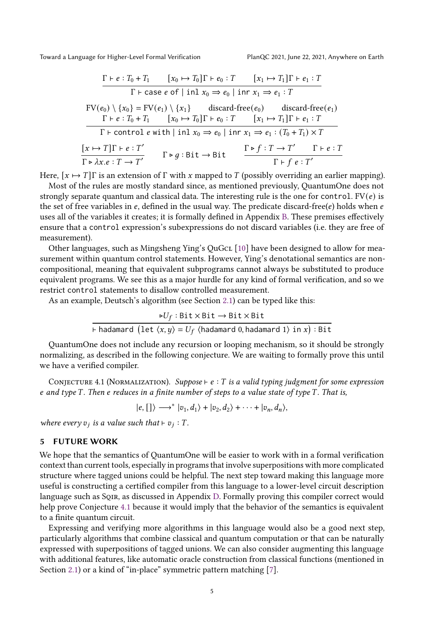Toward a Language for Higher-Level Formal Verification PlanQC 2021, June 22, 2021, Anywhere on Earth

$$
\frac{\Gamma \vdash e : T_0 + T_1 \quad [x_0 \mapsto T_0] \Gamma \vdash e_0 : T \quad [x_1 \mapsto T_1] \Gamma \vdash e_1 : T}{\Gamma \vdash \text{case } e \text{ of } | \text{ in } x_0 \Rightarrow e_0 | \text{ in } x_1 \Rightarrow e_1 : T}
$$
\n
$$
\text{FV}(e_0) \setminus \{x_0\} = \text{FV}(e_1) \setminus \{x_1\} \quad \text{discard-free}(e_0) \quad \text{discard-free}(e_1)
$$
\n
$$
\frac{\Gamma \vdash e : T_0 + T_1 \quad [x_0 \mapsto T_0] \Gamma \vdash e_0 : T \quad [x_1 \mapsto T_1] \Gamma \vdash e_1 : T}{\Gamma \vdash \text{control } e \text{ with } | \text{ in } x_0 \Rightarrow e_0 | \text{ in } x_1 \Rightarrow e_1 : (T_0 + T_1) \times T}
$$
\n
$$
\frac{[x \mapsto T] \Gamma \vdash e : T'}{\Gamma \rhd \lambda x. e : T \rightarrow T'} \quad \Gamma \rhd g : \text{Bit} \rightarrow \text{Bit} \quad \frac{\Gamma \rhd f : T \rightarrow T'}{\Gamma \vdash f e : T'}
$$

Here,  $[x \mapsto T]\Gamma$  is an extension of  $\Gamma$  with x mapped to T (possibly overriding an earlier mapping).

Most of the rules are mostly standard since, as mentioned previously, QuantumOne does not strongly separate quantum and classical data. The interesting rule is the one for control.  $FV(e)$  is the set of free variables in  $e$ , defined in the usual way. The predicate discard-free( $e$ ) holds when  $e$ uses all of the variables it creates; it is formally defined in Appendix [B.](#page-7-1) These premises effectively ensure that a control expression's subexpressions do not discard variables (i.e. they are free of measurement).

Other languages, such as Mingsheng Ying's QuGcL [\[10\]](#page-5-7) have been designed to allow for measurement within quantum control statements. However, Ying's denotational semantics are noncompositional, meaning that equivalent subprograms cannot always be substituted to produce equivalent programs. We see this as a major hurdle for any kind of formal verification, and so we restrict control statements to disallow controlled measurement.

As an example, Deutsch's algorithm (see Section [2.1\)](#page-1-1) can be typed like this:

 $\triangleright U_f : \text{Bit} \times \text{Bit} \rightarrow \text{Bit} \times \text{Bit}$ ⊢hadamard  $(\text{let } \langle x, y \rangle = U_f \langle x \rangle)$ hadamard 0,hadamard 1 $\rangle$  in  $x)$  : Bit

QuantumOne does not include any recursion or looping mechanism, so it should be strongly normalizing, as described in the following conjecture. We are waiting to formally prove this until we have a verified compiler.

<span id="page-4-0"></span>CONJECTURE 4.1 (NORMALIZATION). Suppose ⊢ e : T is a valid typing judgment for some expression e and type  $T$ . Then e reduces in a finite number of steps to a value state of type  $T$ . That is,

 $|e, [\] \rangle \longrightarrow^* |v_1, d_1 \rangle + |v_2, d_2 \rangle + \cdots + |v_n, d_n \rangle,$ 

where every  $v_j$  is a value such that  $\vdash v_j : T$ .

#### 5 FUTURE WORK

We hope that the semantics of QuantumOne will be easier to work with in a formal verification context than current tools, especially in programs that involve superpositions with more complicated structure where tagged unions could be helpful. The next step toward making this language more useful is constructing a certified compiler from this language to a lower-level circuit description language such as Sqir, as discussed in Appendix [D.](#page-8-0) Formally proving this compiler correct would help prove Conjecture [4.1](#page-4-0) because it would imply that the behavior of the semantics is equivalent to a finite quantum circuit.

Expressing and verifying more algorithms in this language would also be a good next step, particularly algorithms that combine classical and quantum computation or that can be naturally expressed with superpositions of tagged unions. We can also consider augmenting this language with additional features, like automatic oracle construction from classical functions (mentioned in Section [2.1\)](#page-1-1) or a kind of "in-place" symmetric pattern matching [\[7\]](#page-5-8).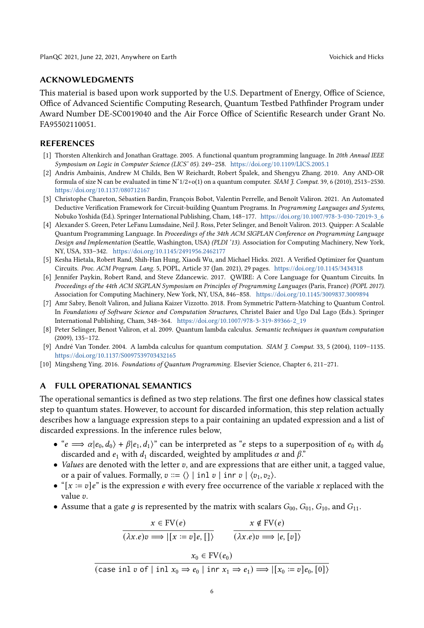## ACKNOWLEDGMENTS

This material is based upon work supported by the U.S. Department of Energy, Office of Science, Office of Advanced Scientific Computing Research, Quantum Testbed Pathfinder Program under Award Number DE-SC0019040 and the Air Force Office of Scientific Research under Grant No. FA95502110051.

# REFERENCES

- <span id="page-5-4"></span>[1] Thorsten Altenkirch and Jonathan Grattage. 2005. A functional quantum programming language. In 20th Annual IEEE Symposium on Logic in Computer Science (LICS' 05). 249–258. <https://doi.org/10.1109/LICS.2005.1>
- <span id="page-5-0"></span>[2] Andris Ambainis, Andrew M Childs, Ben W Reichardt, Robert Špalek, and Shengyu Zhang. 2010. Any AND-OR formula of size N can be evaluated in time  $N^2/2+o(1)$  on a quantum computer. SIAM J. Comput. 39, 6 (2010), 2513-2530. <https://doi.org/10.1137/080712167>
- <span id="page-5-3"></span>[3] Christophe Chareton, Sébastien Bardin, François Bobot, Valentin Perrelle, and Benoît Valiron. 2021. An Automated Deductive Verification Framework for Circuit-building Quantum Programs. In Programming Languages and Systems, Nobuko Yoshida (Ed.). Springer International Publishing, Cham, 148–177. [https://doi.org/10.1007/978-3-030-72019-3\\_6](https://doi.org/10.1007/978-3-030-72019-3_6)
- <span id="page-5-1"></span>[4] Alexander S. Green, Peter LeFanu Lumsdaine, Neil J. Ross, Peter Selinger, and Benoît Valiron. 2013. Quipper: A Scalable Quantum Programming Language. In Proceedings of the 34th ACM SIGPLAN Conference on Programming Language Design and Implementation (Seattle, Washington, USA) (PLDI '13). Association for Computing Machinery, New York, NY, USA, 333–342. <https://doi.org/10.1145/2491956.2462177>
- <span id="page-5-2"></span>[5] Kesha Hietala, Robert Rand, Shih-Han Hung, Xiaodi Wu, and Michael Hicks. 2021. A Verified Optimizer for Quantum Circuits. Proc. ACM Program. Lang. 5, POPL, Article 37 (Jan. 2021), 29 pages. <https://doi.org/10.1145/3434318>
- <span id="page-5-9"></span>[6] Jennifer Paykin, Robert Rand, and Steve Zdancewic. 2017. QWIRE: A Core Language for Quantum Circuits. In Proceedings of the 44th ACM SIGPLAN Symposium on Principles of Programming Languages (Paris, France) (POPL 2017). Association for Computing Machinery, New York, NY, USA, 846–858. <https://doi.org/10.1145/3009837.3009894>
- <span id="page-5-8"></span>[7] Amr Sabry, Benoît Valiron, and Juliana Kaizer Vizzotto. 2018. From Symmetric Pattern-Matching to Quantum Control. In Foundations of Software Science and Computation Structures, Christel Baier and Ugo Dal Lago (Eds.). Springer International Publishing, Cham, 348–364. [https://doi.org/10.1007/978-3-319-89366-2\\_19](https://doi.org/10.1007/978-3-319-89366-2_19)
- <span id="page-5-5"></span>[8] Peter Selinger, Benoıt Valiron, et al. 2009. Quantum lambda calculus. Semantic techniques in quantum computation (2009), 135–172.
- <span id="page-5-10"></span>[9] André Van Tonder. 2004. A lambda calculus for quantum computation. SIAM J. Comput. 33, 5 (2004), 1109–1135. <https://doi.org/10.1137/S0097539703432165>
- <span id="page-5-7"></span>[10] Mingsheng Ying. 2016. Foundations of Quantum Programming. Elsevier Science, Chapter 6, 211–271.

## <span id="page-5-6"></span>A FULL OPERATIONAL SEMANTICS

The operational semantics is defined as two step relations. The first one defines how classical states step to quantum states. However, to account for discarded information, this step relation actually describes how a language expression steps to a pair containing an updated expression and a list of discarded expressions. In the inference rules below,

- " $e \implies \alpha |e_0, d_0\rangle + \beta |e_1, d_1\rangle$ " can be interpreted as "e steps to a superposition of  $e_0$  with  $d_0$ discarded and  $e_1$  with  $d_1$  discarded, weighted by amplitudes  $\alpha$  and  $\beta$ ."
- Values are denoted with the letter  $v$ , and are expressions that are either unit, a tagged value, or a pair of values. Formally,  $v ::= \langle \rangle \mid$  inl  $v \mid \text{inr } v \mid \langle v_1, v_2 \rangle$ .
- " $[x := v]e$ " is the expression *e* with every free occurrence of the variable *x* replaced with the value v.
- Assume that a gate g is represented by the matrix with scalars  $G_{00}$ ,  $G_{01}$ ,  $G_{10}$ , and  $G_{11}$ .

$$
\frac{x \in \text{FV}(e)}{(\lambda x. e)v \Longrightarrow |[x := v]e, []}) \qquad \frac{x \notin \text{FV}(e)}{(\lambda x. e)v \Longrightarrow |e, [v] \rangle}
$$
\n
$$
x_0 \in \text{FV}(e_0)
$$
\n
$$
\text{(case inl } v \text{ of } | \text{ inl } x_0 \Rightarrow e_0 | \text{ inr } x_1 \Rightarrow e_1) \Longrightarrow |[x_0 := v]e_0, [0] \rangle
$$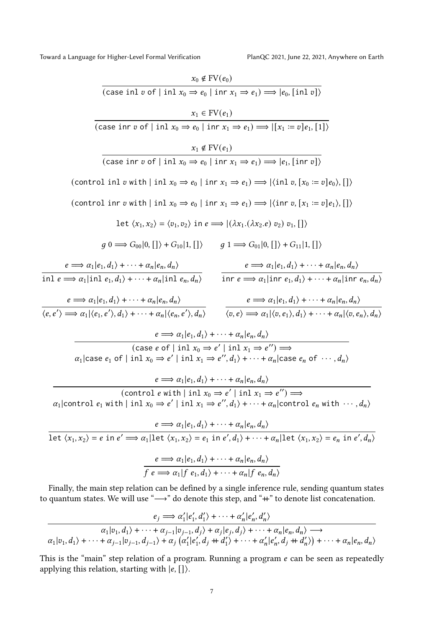Toward a Language for Higher-Level Formal Verification PlanQC 2021, June 22, 2021, Anywhere on Earth

 $\overline{\phantom{a}1}$ et

$$
x_0 \notin FV(e_0)
$$
\n
$$
\overline{(case in 1\ v \text{ of } | in 1x_0 \Rightarrow e_0 | in r x_1 \Rightarrow e_1)} = |e_0, [in 1\ v]\}
$$
\n
$$
x_1 \in FV(e_1)
$$
\n
$$
\overline{(case in r\ v \text{ of } | in 1x_0 \Rightarrow e_0 | in r x_1 \Rightarrow e_1)} = |[x_1 := v]e_1, [1]\}
$$
\n
$$
x_1 \notin FV(e_1)
$$
\n
$$
\overline{(case in r\ v \text{ of } | in 1x_0 \Rightarrow e_0 | in r x_1 \Rightarrow e_1)} \Rightarrow |e_1, [in r v]\}
$$
\n
$$
(\text{control in } v \text{ with } | in 1x_0 \Rightarrow e_0 | in r x_1 \Rightarrow e_1) \Rightarrow |\langle in 1v, [x_0 := v]e_0\rangle, [] \rangle
$$
\n
$$
(\text{control in } v \text{ with } | in 1x_0 \Rightarrow e_0 | in r x_1 \Rightarrow e_1) \Rightarrow |\langle in r v, [x_1 := v]e_0\rangle, [] \rangle
$$
\n
$$
1 \text{et } (x_1, x_2) = \langle v_1, v_2 \rangle \text{ in } e \Rightarrow |(\lambda x_1.(\lambda x_2. e) v_2) v_1, [] \rangle
$$
\n
$$
g \text{ } 0 \Rightarrow G_{00}|0, [] \rangle + G_{10}|1, [] \qquad g \text{ } 1 \Rightarrow G_{01}|0, [] \rangle + G_{11}|1, [] \rangle
$$
\n
$$
e \Rightarrow \alpha_1 |e_1, d_1\rangle + \dots + \alpha_n |e_n, d_n\rangle \qquad e \Rightarrow \alpha_1 |e_1, d_1\rangle + \dots + \alpha_n |e_n, d_n\rangle
$$
\n
$$
\overline{e \Rightarrow \alpha_1 |e_1, d_1\rangle + \dots + \alpha_n |e_n, d_n\rangle} \qquad \overline{e \Rightarrow \alpha_1 |e_1, d_1\rangle + \dots + \alpha_n |e_n, d_n\rangle}
$$
\n
$$
\overline{e \Rightarrow \alpha_1 |e_1, d_1\rangle + \dots + \alpha_n |e_n, d_n\rangle}
$$
\n
$$
\overline{e \Rightarrow \alpha_1 |e_1, d_1\rangle + \dots + \alpha
$$

$$
\frac{e_j \Longrightarrow \alpha'_1 | e'_1, d'_1 \rangle + \cdots + \alpha'_n | e'_n, d'_n \rangle}{\alpha_1 | v_1, d_1 \rangle + \cdots + \alpha_{j-1} | v_{j-1}, d_j \rangle + \alpha_j | e_j, d_j \rangle + \cdots + \alpha_n | e_n, d_n \rangle \longrightarrow}
$$
  

$$
\alpha_1 | v_1, d_1 \rangle + \cdots + \alpha_{j-1} | v_{j-1}, d_{j-1} \rangle + \alpha_j \left( \alpha'_1 | e'_1, d_j + d'_1 \rangle + \cdots + \alpha'_n | e'_n, d_j + d'_n \rangle \right) + \cdots + \alpha_n | e_n, d_n \rangle
$$

This is the "main" step relation of a program. Running a program  $e$  can be seen as repeatedly applying this relation, starting with  $|e, [\cdot]$ ).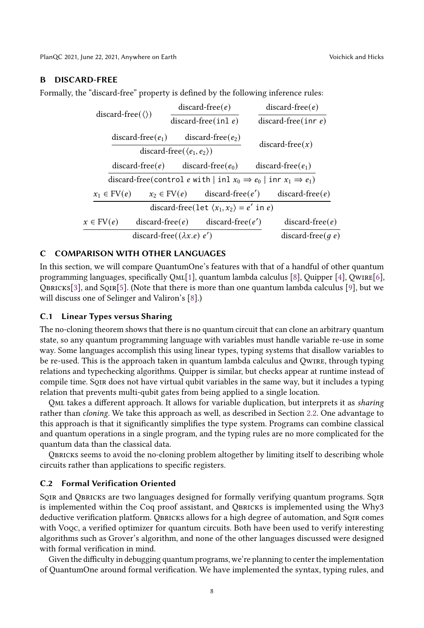PlanQC 2021, June 22, 2021, Anywhere on Earth Voichick and Hicks

# <span id="page-7-1"></span>B DISCARD-FREE

Formally, the "discard-free" property is defined by the following inference rules:

| $discard-free(\langle \rangle)$    | $discard-free(e)$                                      | $discard-free(e)$                                                                     |
|------------------------------------|--------------------------------------------------------|---------------------------------------------------------------------------------------|
|                                    | discard-free(inl $e$ )                                 | discard-free(inr $e$ )                                                                |
| discard-free $(e_1)$               | $discard-free(e_2)$                                    | $discard-free(x)$                                                                     |
|                                    | discard-free( $\langle e_1, e_2 \rangle$ )             |                                                                                       |
| $discard-free(e)$                  | discard-free( $e_0$ )                                  | $discard-free(e_1)$                                                                   |
|                                    |                                                        | discard-free(control e with   inl $x_0 \Rightarrow e_0$   inr $x_1 \Rightarrow e_1$ ) |
| $x_1 \in FV(e)$                    | $x_2 \in FV(e)$                                        | $discard-free(e')$<br>$discard-free(e)$                                               |
|                                    | discard-free(let $\langle x_1, x_2 \rangle = e'$ in e) |                                                                                       |
| $x \in FV(e)$                      | $discard-free(e)$                                      | $discard-free(e')$<br>$discard-free(e)$                                               |
| discard-free( $(\lambda x.e) e'$ ) | discard-free(q e)                                      |                                                                                       |

# <span id="page-7-0"></span>C COMPARISON WITH OTHER LANGUAGES

In this section, we will compare QuantumOne's features with that of a handful of other quantum programming languages, specifically QmL[\[1\]](#page-5-4), quantum lambda calculus [\[8\]](#page-5-5), Quipper [\[4\]](#page-5-1), Qwire[\[6\]](#page-5-9), QBRICKS[\[3\]](#page-5-3), and SQIR[\[5\]](#page-5-2). (Note that there is more than one quantum lambda calculus [\[9\]](#page-5-10), but we will discuss one of Selinger and Valiron's [\[8\]](#page-5-5).)

# C.1 Linear Types versus Sharing

The no-cloning theorem shows that there is no quantum circuit that can clone an arbitrary quantum state, so any quantum programming language with variables must handle variable re-use in some way. Some languages accomplish this using linear types, typing systems that disallow variables to be re-used. This is the approach taken in quantum lambda calculus and Qwire, through typing relations and typechecking algorithms. Quipper is similar, but checks appear at runtime instead of compile time. Sqir does not have virtual qubit variables in the same way, but it includes a typing relation that prevents multi-qubit gates from being applied to a single location.

Qml takes a different approach. It allows for variable duplication, but interprets it as sharing rather than cloning. We take this approach as well, as described in Section [2.2.](#page-1-2) One advantage to this approach is that it significantly simplifies the type system. Programs can combine classical and quantum operations in a single program, and the typing rules are no more complicated for the quantum data than the classical data.

Qbricks seems to avoid the no-cloning problem altogether by limiting itself to describing whole circuits rather than applications to specific registers.

## C.2 Formal Verification Oriented

SQIR and QBRICKS are two languages designed for formally verifying quantum programs. SQIR is implemented within the Coq proof assistant, and QBRICKS is implemented using the Why3 deductive verification platform. QBRICKS allows for a high degree of automation, and SQIR comes with Voqc, a verified optimizer for quantum circuits. Both have been used to verify interesting algorithms such as Grover's algorithm, and none of the other languages discussed were designed with formal verification in mind.

Given the difficulty in debugging quantum programs, we're planning to center the implementation of QuantumOne around formal verification. We have implemented the syntax, typing rules, and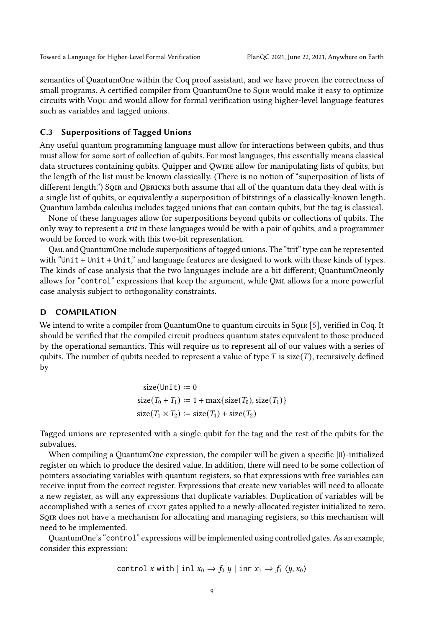semantics of QuantumOne within the Coq proof assistant, and we have proven the correctness of small programs. A certified compiler from QuantumOne to Sqir would make it easy to optimize circuits with Voqc and would allow for formal verification using higher-level language features such as variables and tagged unions.

# C.3 Superpositions of Tagged Unions

Any useful quantum programming language must allow for interactions between qubits, and thus must allow for some sort of collection of qubits. For most languages, this essentially means classical data structures containing qubits. Quipper and Qwire allow for manipulating lists of qubits, but the length of the list must be known classically. (There is no notion of "superposition of lists of different length.") SQIR and QBRICKS both assume that all of the quantum data they deal with is a single list of qubits, or equivalently a superposition of bitstrings of a classically-known length. Quantum lambda calculus includes tagged unions that can contain qubits, but the tag is classical.

None of these languages allow for superpositions beyond qubits or collections of qubits. The only way to represent a trit in these languages would be with a pair of qubits, and a programmer would be forced to work with this two-bit representation.

Qml and QuantumOne include superpositions of tagged unions. The "trit" type can be represented with "Unit + Unit + Unit," and language features are designed to work with these kinds of types. The kinds of case analysis that the two languages include are a bit different; QuantumOneonly allows for "control" expressions that keep the argument, while Qml allows for a more powerful case analysis subject to orthogonality constraints.

# <span id="page-8-0"></span>D COMPILATION

We intend to write a compiler from QuantumOne to quantum circuits in SQIR [\[5\]](#page-5-2), verified in Coq. It should be verified that the compiled circuit produces quantum states equivalent to those produced by the operational semantics. This will require us to represent all of our values with a series of qubits. The number of qubits needed to represent a value of type  $T$  is  $size(T)$ , recursively defined by

$$
size(Unit) := 0
$$
  
\n
$$
size(T_0 + T_1) := 1 + max{size(T_0), size(T_1)}
$$
  
\n
$$
size(T_1 \times T_2) := size(T_1) + size(T_2)
$$

Tagged unions are represented with a single qubit for the tag and the rest of the qubits for the subvalues.

When compiling a QuantumOne expression, the compiler will be given a specific |0⟩-initialized register on which to produce the desired value. In addition, there will need to be some collection of pointers associating variables with quantum registers, so that expressions with free variables can receive input from the correct register. Expressions that create new variables will need to allocate a new register, as will any expressions that duplicate variables. Duplication of variables will be accomplished with a series of CNOT gates applied to a newly-allocated register initialized to zero. Sqir does not have a mechanism for allocating and managing registers, so this mechanism will need to be implemented.

QuantumOne's "control" expressions will be implemented using controlled gates. As an example, consider this expression:

control x with | inl 
$$
x_0 \Rightarrow f_0 y
$$
 | inr  $x_1 \Rightarrow f_1 \langle y, x_0 \rangle$